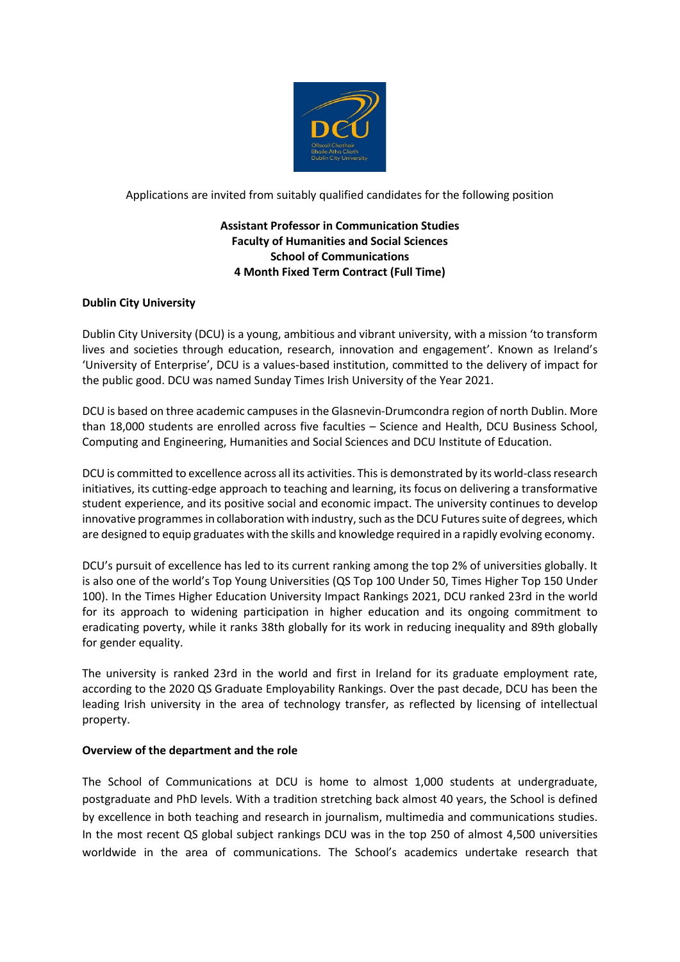

Applications are invited from suitably qualified candidates for the following position

# **Assistant Professor in Communication Studies Faculty of Humanities and Social Sciences School of Communications 4 Month Fixed Term Contract (Full Time)**

# **Dublin City University**

Dublin City University (DCU) is a young, ambitious and vibrant university, with a mission 'to transform lives and societies through education, research, innovation and engagement'. Known as Ireland's 'University of Enterprise', DCU is a values-based institution, committed to the delivery of impact for the public good. DCU was named Sunday Times Irish University of the Year 2021.

DCU is based on three academic campuses in the Glasnevin-Drumcondra region of north Dublin. More than 18,000 students are enrolled across five faculties – Science and Health, DCU Business School, Computing and Engineering, Humanities and Social Sciences and DCU Institute of Education.

DCU is committed to excellence across all its activities. This is demonstrated by its world-class research initiatives, its cutting-edge approach to teaching and learning, its focus on delivering a transformative student experience, and its positive social and economic impact. The university continues to develop innovative programmes in collaboration with industry, such as the DCU Futures suite of degrees, which are designed to equip graduates with the skills and knowledge required in a rapidly evolving economy.

DCU's pursuit of excellence has led to its current ranking among the top 2% of universities globally. It is also one of the world's Top Young Universities (QS Top 100 Under 50, Times Higher Top 150 Under 100). In the Times Higher Education University Impact Rankings 2021, DCU ranked 23rd in the world for its approach to widening participation in higher education and its ongoing commitment to eradicating poverty, while it ranks 38th globally for its work in reducing inequality and 89th globally for gender equality.

The university is ranked 23rd in the world and first in Ireland for its graduate employment rate, according to the 2020 QS Graduate Employability Rankings. Over the past decade, DCU has been the leading Irish university in the area of technology transfer, as reflected by licensing of intellectual property.

### **Overview of the department and the role**

The School of Communications at DCU is home to almost 1,000 students at undergraduate, postgraduate and PhD levels. With a tradition stretching back almost 40 years, the School is defined by excellence in both teaching and research in journalism, multimedia and communications studies. In the most recent QS global subject rankings DCU was in the top 250 of almost 4,500 universities worldwide in the area of communications. The School's academics undertake research that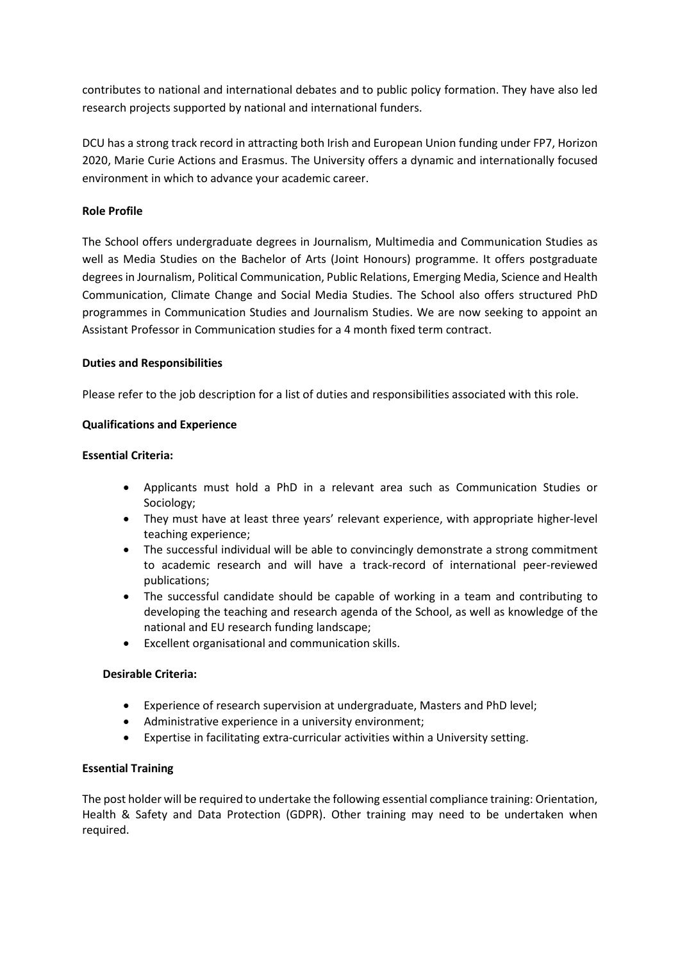contributes to national and international debates and to public policy formation. They have also led research projects supported by national and international funders.

DCU has a strong track record in attracting both Irish and European Union funding under FP7, Horizon 2020, Marie Curie Actions and Erasmus. The University offers a dynamic and internationally focused environment in which to advance your academic career.

## **Role Profile**

The School offers undergraduate degrees in Journalism, Multimedia and Communication Studies as well as Media Studies on the Bachelor of Arts (Joint Honours) programme. It offers postgraduate degrees in Journalism, Political Communication, Public Relations, Emerging Media, Science and Health Communication, Climate Change and Social Media Studies. The School also offers structured PhD programmes in Communication Studies and Journalism Studies. We are now seeking to appoint an Assistant Professor in Communication studies for a 4 month fixed term contract.

### **Duties and Responsibilities**

Please refer to the job description for a list of duties and responsibilities associated with this role.

### **Qualifications and Experience**

### **Essential Criteria:**

- Applicants must hold a PhD in a relevant area such as Communication Studies or Sociology;
- They must have at least three years' relevant experience, with appropriate higher-level teaching experience;
- The successful individual will be able to convincingly demonstrate a strong commitment to academic research and will have a track-record of international peer-reviewed publications;
- The successful candidate should be capable of working in a team and contributing to developing the teaching and research agenda of the School, as well as knowledge of the national and EU research funding landscape;
- Excellent organisational and communication skills.

### **Desirable Criteria:**

- Experience of research supervision at undergraduate, Masters and PhD level;
- Administrative experience in a university environment;
- Expertise in facilitating extra-curricular activities within a University setting.

### **Essential Training**

The post holder will be required to undertake the following essential compliance training: Orientation, Health & Safety and Data Protection (GDPR). Other training may need to be undertaken when required.